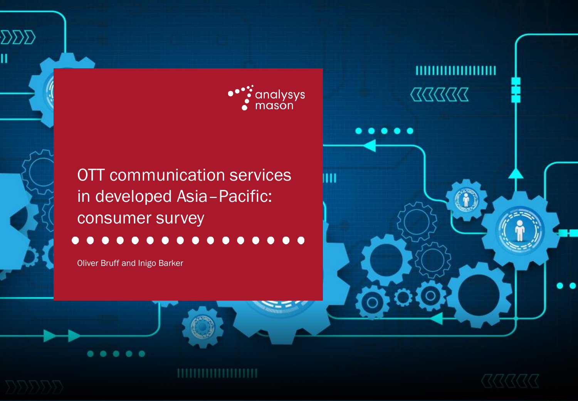

ш

OTT communication services in developed Asia–Pacific: consumer survey

Oliver Bruff and Inigo Barker

OTT communication services in developed Asia–Pacific: consumer survey

 $\sum\!\sum\!\sum$ 

Ħ



 $\begin{array}{c} \text{X} \text{X} \text{X} \text{X} \text{X} \text{X} \text{X} \end{array}$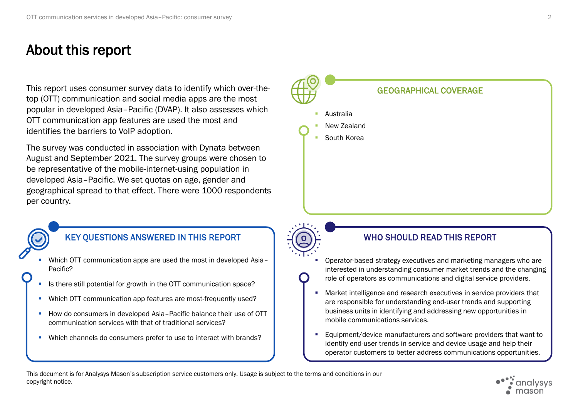# About this report

This report uses consumer survey data to identify which over-the-<br>
GEOGRAPHICAL COVERAGE top (OTT) communication and social media apps are the most popular in developed Asia–Pacific (DVAP). It also assesses which OTT communication app features are used the most and identifies the barriers to VoIP adoption.

The survey was conducted in association with Dynata between August and September 2021. The survey groups were chosen to be representative of the mobile-internet-using population in developed Asia–Pacific. We set quotas on age, gender and geographical spread to that effect. There were 1000 respondents per country.



### KEY QUESTIONS ANSWERED IN THIS REPORT A REPORT WHO SHOULD READ THIS REPORT

- Which OTT communication apps are used the most in developed Asia-Pacific?
- Is there still potential for growth in the OTT communication space?
- Which OTT communication app features are most-frequently used?
- How do consumers in developed Asia-Pacific balance their use of OTT communication services with that of traditional services?
- Which channels do consumers prefer to use to interact with brands?



**Australia** New Zealand South Korea

- Operator-based strategy executives and marketing managers who are interested in understanding consumer market trends and the changing role of operators as communications and digital service providers.
- Market intelligence and research executives in service providers that are responsible for understanding end-user trends and supporting business units in identifying and addressing new opportunities in mobile communications services.
- Equipment/device manufacturers and software providers that want to identify end-user trends in service and device usage and help their operator customers to better address communications opportunities.

This document is for Analysys Mason's subscription service customers only. Usage is subject to the terms and conditions in our copyright notice.

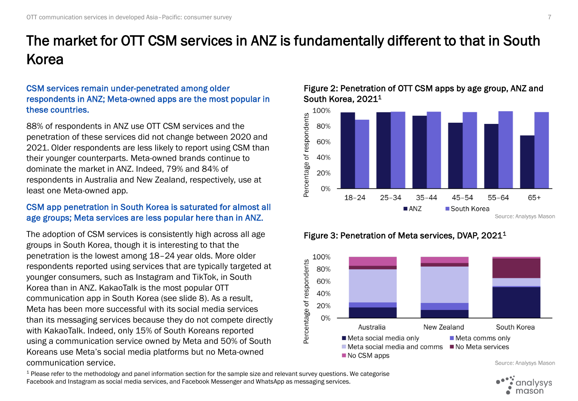# The market for OTT CSM services in ANZ is fundamentally different to that in South Korea

### CSM services remain under-penetrated among older respondents in ANZ; Meta-owned apps are the most popular in these countries.

88% of respondents in ANZ use OTT CSM services and the penetration of these services did not change between 2020 and 2021. Older respondents are less likely to report using CSM than their younger counterparts. Meta-owned brands continue to dominate the market in ANZ. Indeed, 79% and 84% of respondents in Australia and New Zealand, respectively, use at least one Meta-owned app.

### CSM app penetration in South Korea is saturated for almost all age groups; Meta services are less popular here than in ANZ.

The adoption of CSM services is consistently high across all age groups in South Korea, though it is interesting to that the penetration is the lowest among 18–24 year olds. More older respondents reported using services that are typically targeted at younger consumers, such as Instagram and TikTok, in South Korea than in ANZ. KakaoTalk is the most popular OTT communication app in South Korea (see slide 8). As a result, Meta has been more successful with its social media services than its messaging services because they do not compete directly with KakaoTalk. Indeed, only 15% of South Koreans reported using a communication service owned by Meta and 50% of South Koreans use Meta's social media platforms but no Meta-owned communication service.

Figure 2: Penetration of OTT CSM apps by age group, ANZ and South Korea, 2021<sup>1</sup>







<sup>1</sup> Please refer to the methodology and panel information section for the sample size and relevant survey questions. We categorise Facebook and Instagram as social media services, and Facebook Messenger and WhatsApp as messaging services.

Source: Analysys Mason

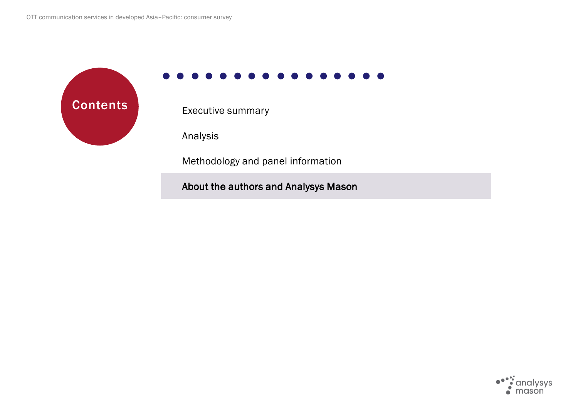**Contents** Executive summary

Analysis

Methodology and panel information

About the authors and Analysys Mason

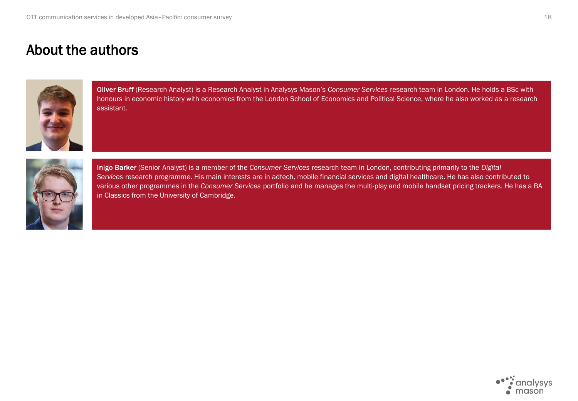## About the authors



Oliver Bruff (Research Analyst) is a Research Analyst in Analysys Mason's *Consumer Services* research team in London. He holds a BSc with honours in economic history with economics from the London School of Economics and Political Science, where he also worked as a research assistant.



Inigo Barker (Senior Analyst) is a member of the *Consumer Services* research team in London, contributing primarily to the *Digital Services* research programme. His main interests are in adtech, mobile financial services and digital healthcare. He has also contributed to various other programmes in the *Consumer Services* portfolio and he manages the multi-play and mobile handset pricing trackers. He has a BA in Classics from the University of Cambridge.

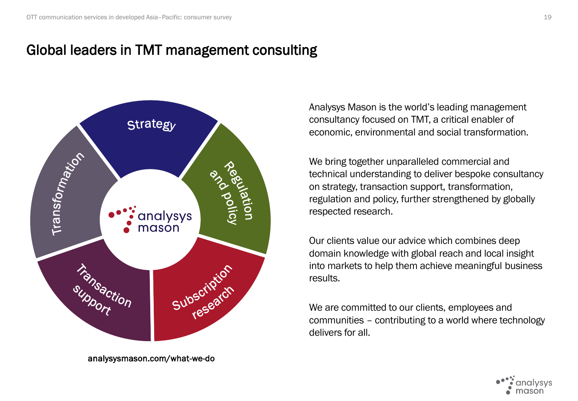# Global leaders in TMT management consulting



analysysmason.com/what-we-do

Analysys Mason is the world's leading management consultancy focused on TMT, a critical enabler of economic, environmental and social transformation.

We bring together unparalleled commercial and technical understanding to deliver bespoke consultancy on strategy, transaction support, transformation, regulation and policy, further strengthened by globally respected research.

Our clients value our advice which combines deep domain knowledge with global reach and local insight into markets to help them achieve meaningful business results.

We are committed to our clients, employees and communities – contributing to a world where technology delivers for all.

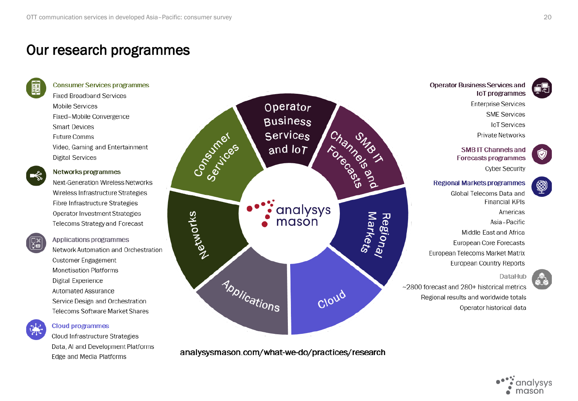## Our research programmes



#### **Consumer Services programmes**

**Fixed Broadband Services Mobile Services** Fixed-Mobile Convergence **Smart Devices** Future Comms Video, Gaming and Entertainment **Digital Services** 



#### Networks programmes

Next-Generation Wireless Networks Wireless Infrastructure Strategies Fibre Infrastructure Strategies Operator Investment Strategies Telecoms Strategy and Forecast



Applications programmes Network Automation and Orchestration **Customer Engagement Monetisation Platforms** Digital Experience Automated Assurance Service Design and Orchestration Telecoms Software Market Shares



#### **Cloud programmes**

Cloud Infrastructure Strategies Data, AI and Development Platforms Edge and Media Platforms



analysysmason.com/what-we-do/practices/research



**Operator Business Services and** loT programmes

> **Enterprise Services SME Services IoT Services Private Networks**

**SMB IT Channels and Forecasts programmes Cyber Security** 

### **Regional Markets programmes**

Global Telecoms Data and **Financial KPIs** Americas Asia-Pacific Middle East and Africa European Core Forecasts European Telecoms Market Matrix European Country Reports

DataHub

~2800 forecast and 280+ historical metrics Regional results and worldwide totals Operator historical data

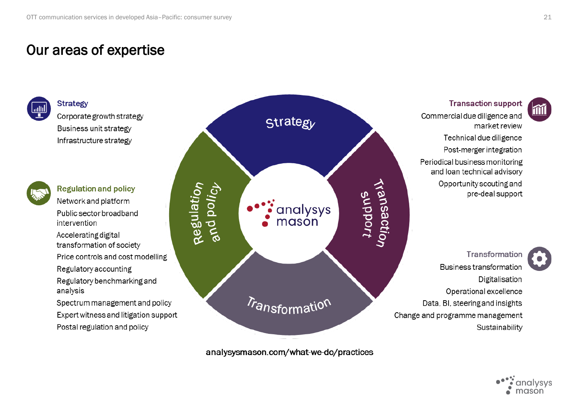## Our areas of expertise



Corporate growth strategy Business unit strategy Infrastructure strategy

**Strategy** 



**Regulation and policy** Network and platform Public sector broadband intervention

Accelerating digital transformation of society

Price controls and cost modelling

Regulatory accounting

Regulatory benchmarking and analysis

Spectrum management and policy Expert witness and litigation support Postal regulation and policy



analysysmason.com/what-we-do/practices

**Transaction support** 

Commercial due diligence and market review Technical due diligence Post-merger integration Periodical business monitoring and loan technical advisory Opportunity scouting and pre-deal support

Transformation Business transformation Digitalisation Operational excellence Data, BI, steering and insights Change and programme management Sustainability